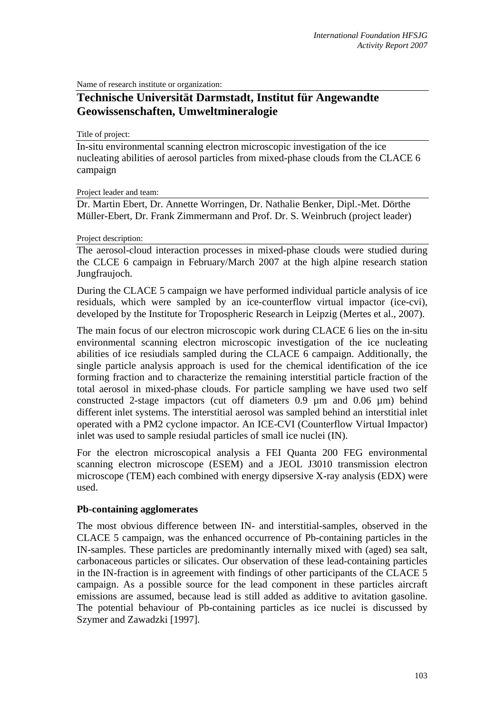Name of research institute or organization:

# **Technische Universität Darmstadt, Institut für Angewandte Geowissenschaften, Umweltmineralogie**

Title of project:

In-situ environmental scanning electron microscopic investigation of the ice nucleating abilities of aerosol particles from mixed-phase clouds from the CLACE 6 campaign

#### Project leader and team:

Dr. Martin Ebert, Dr. Annette Worringen, Dr. Nathalie Benker, Dipl.-Met. Dörthe Müller-Ebert, Dr. Frank Zimmermann and Prof. Dr. S. Weinbruch (project leader)

#### Project description:

The aerosol-cloud interaction processes in mixed-phase clouds were studied during the CLCE 6 campaign in February/March 2007 at the high alpine research station Jungfraujoch.

During the CLACE 5 campaign we have performed individual particle analysis of ice residuals, which were sampled by an ice-counterflow virtual impactor (ice-cvi), developed by the Institute for Tropospheric Research in Leipzig (Mertes et al., 2007).

The main focus of our electron microscopic work during CLACE 6 lies on the in-situ environmental scanning electron microscopic investigation of the ice nucleating abilities of ice resiudials sampled during the CLACE 6 campaign. Additionally, the single particle analysis approach is used for the chemical identification of the ice forming fraction and to characterize the remaining interstitial particle fraction of the total aerosol in mixed-phase clouds. For particle sampling we have used two self constructed 2-stage impactors (cut off diameters 0.9 µm and 0.06 µm) behind different inlet systems. The interstitial aerosol was sampled behind an interstitial inlet operated with a PM2 cyclone impactor. An ICE-CVI (Counterflow Virtual Impactor) inlet was used to sample resiudal particles of small ice nuclei (IN).

For the electron microscopical analysis a FEI Quanta 200 FEG environmental scanning electron microscope (ESEM) and a JEOL J3010 transmission electron microscope (TEM) each combined with energy dipsersive X-ray analysis (EDX) were used.

# **Pb-containing agglomerates**

The most obvious difference between IN- and interstitial-samples, observed in the CLACE 5 campaign, was the enhanced occurrence of Pb-containing particles in the IN-samples. These particles are predominantly internally mixed with (aged) sea salt, carbonaceous particles or silicates. Our observation of these lead-containing particles in the IN-fraction is in agreement with findings of other participants of the CLACE 5 campaign. As a possible source for the lead component in these particles aircraft emissions are assumed, because lead is still added as additive to avitation gasoline. The potential behaviour of Pb-containing particles as ice nuclei is discussed by Szymer and Zawadzki [1997].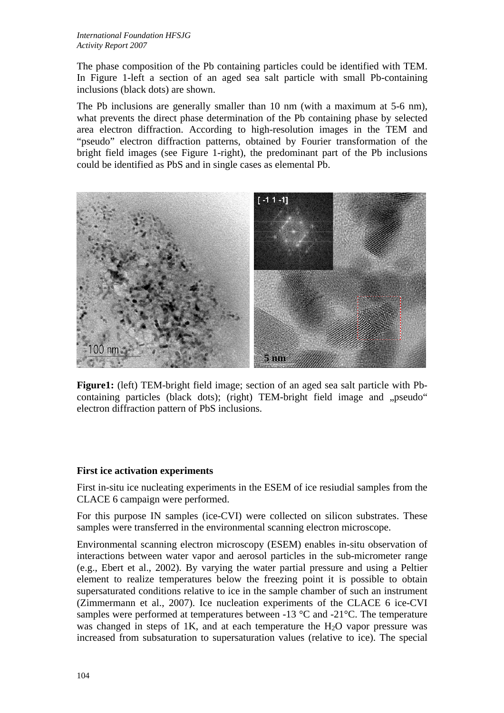The phase composition of the Pb containing particles could be identified with TEM. In Figure 1-left a section of an aged sea salt particle with small Pb-containing inclusions (black dots) are shown.

The Pb inclusions are generally smaller than 10 nm (with a maximum at 5-6 nm), what prevents the direct phase determination of the Pb containing phase by selected area electron diffraction. According to high-resolution images in the TEM and "pseudo" electron diffraction patterns, obtained by Fourier transformation of the bright field images (see Figure 1-right), the predominant part of the Pb inclusions could be identified as PbS and in single cases as elemental Pb.



**Figure1:** (left) TEM-bright field image; section of an aged sea salt particle with Pbcontaining particles (black dots); (right) TEM-bright field image and "pseudo" electron diffraction pattern of PbS inclusions.

# **First ice activation experiments**

First in-situ ice nucleating experiments in the ESEM of ice resiudial samples from the CLACE 6 campaign were performed.

For this purpose IN samples (ice-CVI) were collected on silicon substrates. These samples were transferred in the environmental scanning electron microscope.

Environmental scanning electron microscopy (ESEM) enables in-situ observation of interactions between water vapor and aerosol particles in the sub-micrometer range (e.g., Ebert et al., 2002). By varying the water partial pressure and using a Peltier element to realize temperatures below the freezing point it is possible to obtain supersaturated conditions relative to ice in the sample chamber of such an instrument (Zimmermann et al., 2007). Ice nucleation experiments of the CLACE 6 ice-CVI samples were performed at temperatures between  $-13$  °C and  $-21$ °C. The temperature was changed in steps of 1K, and at each temperature the  $H_2O$  vapor pressure was increased from subsaturation to supersaturation values (relative to ice). The special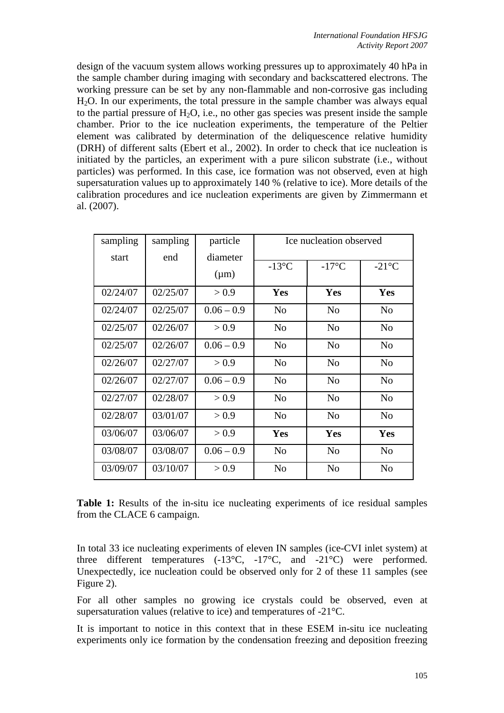design of the vacuum system allows working pressures up to approximately 40 hPa in the sample chamber during imaging with secondary and backscattered electrons. The working pressure can be set by any non-flammable and non-corrosive gas including H2O. In our experiments, the total pressure in the sample chamber was always equal to the partial pressure of  $H_2O$ , i.e., no other gas species was present inside the sample chamber. Prior to the ice nucleation experiments, the temperature of the Peltier element was calibrated by determination of the deliquescence relative humidity (DRH) of different salts (Ebert et al., 2002). In order to check that ice nucleation is initiated by the particles, an experiment with a pure silicon substrate (i.e., without particles) was performed. In this case, ice formation was not observed, even at high supersaturation values up to approximately 140 % (relative to ice). More details of the calibration procedures and ice nucleation experiments are given by Zimmermann et al. (2007).

| sampling | sampling | particle              | Ice nucleation observed |                 |                 |
|----------|----------|-----------------------|-------------------------|-----------------|-----------------|
| start    | end      | diameter<br>$(\mu m)$ | $-13$ °C                | $-17^{\circ}$ C | $-21^{\circ}$ C |
| 02/24/07 | 02/25/07 | > 0.9                 | Yes                     | Yes             | Yes             |
| 02/24/07 | 02/25/07 | $0.06 - 0.9$          | N <sub>0</sub>          | N <sub>0</sub>  | N <sub>o</sub>  |
| 02/25/07 | 02/26/07 | > 0.9                 | N <sub>0</sub>          | N <sub>0</sub>  | N <sub>o</sub>  |
| 02/25/07 | 02/26/07 | $0.06 - 0.9$          | N <sub>o</sub>          | N <sub>0</sub>  | N <sub>o</sub>  |
| 02/26/07 | 02/27/07 | > 0.9                 | N <sub>o</sub>          | N <sub>o</sub>  | N <sub>o</sub>  |
| 02/26/07 | 02/27/07 | $0.06 - 0.9$          | N <sub>0</sub>          | N <sub>0</sub>  | N <sub>o</sub>  |
| 02/27/07 | 02/28/07 | > 0.9                 | N <sub>o</sub>          | N <sub>o</sub>  | N <sub>o</sub>  |
| 02/28/07 | 03/01/07 | > 0.9                 | N <sub>o</sub>          | N <sub>o</sub>  | N <sub>o</sub>  |
| 03/06/07 | 03/06/07 | > 0.9                 | Yes                     | Yes             | Yes             |
| 03/08/07 | 03/08/07 | $0.06 - 0.9$          | N <sub>o</sub>          | N <sub>o</sub>  | N <sub>o</sub>  |
| 03/09/07 | 03/10/07 | > 0.9                 | N <sub>o</sub>          | N <sub>o</sub>  | N <sub>o</sub>  |

**Table 1:** Results of the in-situ ice nucleating experiments of ice residual samples from the CLACE 6 campaign.

In total 33 ice nucleating experiments of eleven IN samples (ice-CVI inlet system) at three different temperatures  $(-13^{\circ}C, -17^{\circ}C,$  and  $-21^{\circ}C$ ) were performed. Unexpectedly, ice nucleation could be observed only for 2 of these 11 samples (see Figure 2).

For all other samples no growing ice crystals could be observed, even at supersaturation values (relative to ice) and temperatures of -21°C.

It is important to notice in this context that in these ESEM in-situ ice nucleating experiments only ice formation by the condensation freezing and deposition freezing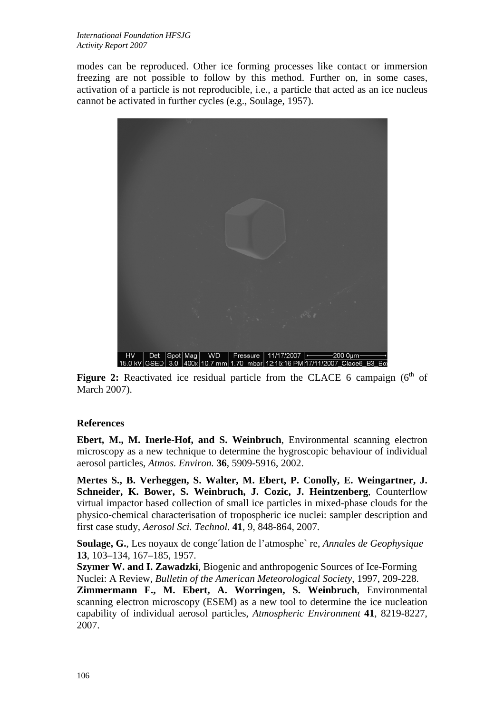modes can be reproduced. Other ice forming processes like contact or immersion freezing are not possible to follow by this method. Further on, in some cases, activation of a particle is not reproducible, i.e., a particle that acted as an ice nucleus cannot be activated in further cycles (e.g., Soulage, 1957).



**Figure 2:** Reactivated ice residual particle from the CLACE 6 campaign  $(6<sup>th</sup>$  of March 2007).

# **References**

**Ebert, M., M. Inerle-Hof, and S. Weinbruch**, Environmental scanning electron microscopy as a new technique to determine the hygroscopic behaviour of individual aerosol particles, *Atmos. Environ.* **36**, 5909-5916, 2002.

**Mertes S., B. Verheggen, S. Walter, M. Ebert, P. Conolly, E. Weingartner, J. Schneider, K. Bower, S. Weinbruch, J. Cozic, J. Heintzenberg**, Counterflow virtual impactor based collection of small ice particles in mixed-phase clouds for the physico-chemical characterisation of tropospheric ice nuclei: sampler description and first case study, *Aerosol Sci. Technol*. **41**, 9, 848-864, 2007.

**Soulage, G.**, Les noyaux de conge´lation de l'atmosphe` re, *Annales de Geophysique* **13**, 103–134, 167–185, 1957.

**Szymer W. and I. Zawadzki**, Biogenic and anthropogenic Sources of Ice-Forming Nuclei: A Review, *Bulletin of the American Meteorological Society*, 1997, 209-228. **Zimmermann F., M. Ebert, A. Worringen, S. Weinbruch**, Environmental scanning electron microscopy (ESEM) as a new tool to determine the ice nucleation capability of individual aerosol particles, *Atmospheric Environment* **41**, 8219-8227, 2007.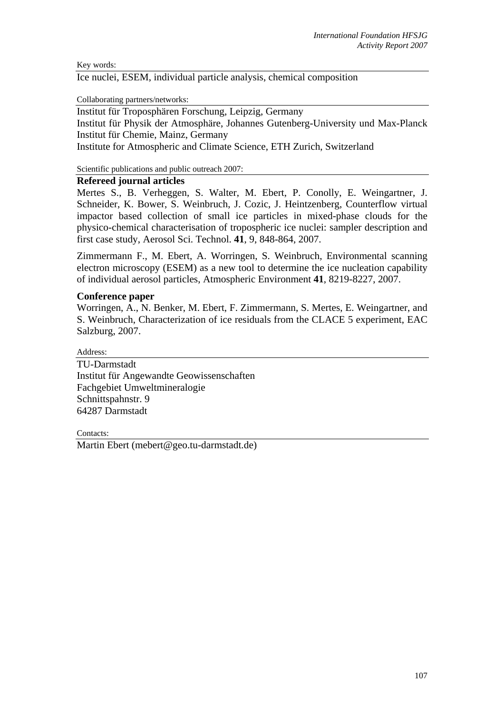Key words:

Ice nuclei, ESEM, individual particle analysis, chemical composition

Collaborating partners/networks:

Institut für Troposphären Forschung, Leipzig, Germany Institut für Physik der Atmosphäre, Johannes Gutenberg-University und Max-Planck Institut für Chemie, Mainz, Germany Institute for Atmospheric and Climate Science, ETH Zurich, Switzerland

Scientific publications and public outreach 2007:

# **Refereed journal articles**

Mertes S., B. Verheggen, S. Walter, M. Ebert, P. Conolly, E. Weingartner, J. Schneider, K. Bower, S. Weinbruch, J. Cozic, J. Heintzenberg, Counterflow virtual impactor based collection of small ice particles in mixed-phase clouds for the physico-chemical characterisation of tropospheric ice nuclei: sampler description and first case study, Aerosol Sci. Technol. **41**, 9, 848-864, 2007.

Zimmermann F., M. Ebert, A. Worringen, S. Weinbruch, Environmental scanning electron microscopy (ESEM) as a new tool to determine the ice nucleation capability of individual aerosol particles, Atmospheric Environment **41**, 8219-8227, 2007.

#### **Conference paper**

Worringen, A., N. Benker, M. Ebert, F. Zimmermann, S. Mertes, E. Weingartner, and S. Weinbruch, Characterization of ice residuals from the CLACE 5 experiment, EAC Salzburg, 2007.

Address:

TU-Darmstadt Institut für Angewandte Geowissenschaften Fachgebiet Umweltmineralogie Schnittspahnstr. 9 64287 Darmstadt

Contacts:

Martin Ebert (mebert@geo.tu-darmstadt.de)